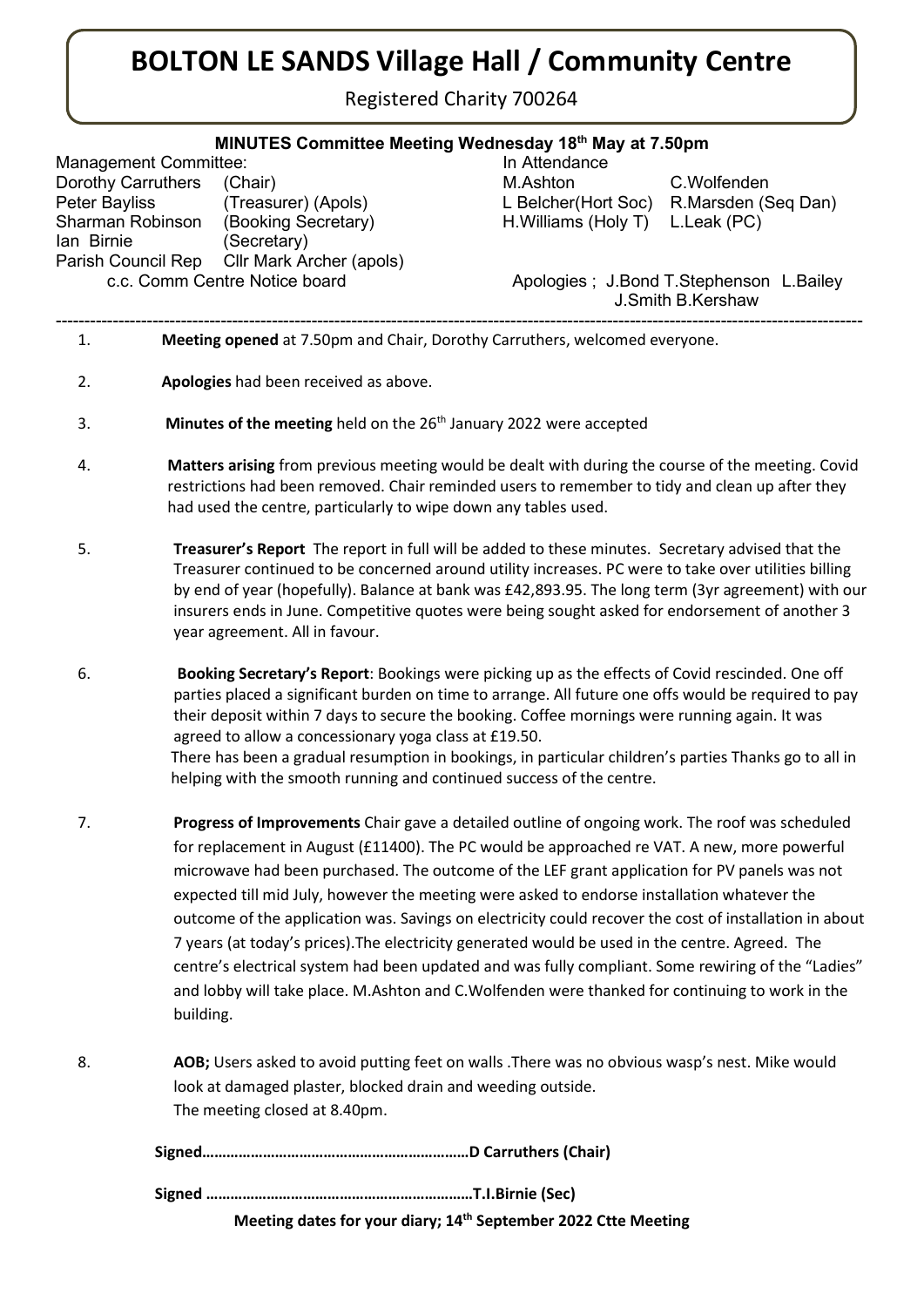## BOLTON LE SANDS Village Hall / Community Centre

Registered Charity 700264

## MINUTES Committee Meeting Wednesday 18<sup>th</sup> May at 7.50pm

----------------------------------------------------------------------------------------------------------------------------------------------

Management Committee: In Attendance Dorothy Carruthers (Chair) M.Ashton C.Wolfenden Peter Bayliss (Treasurer) (Apols) L Belcher(Hort Soc) R.Marsden (Seq Dan) Sharman Robinson (Booking Secretary) H.Williams (Holy T) L.Leak (PC) Ian Birnie (Secretary) Parish Council Rep Cllr Mark Archer (apols)

c.c. Comm Centre Notice board Apologies ; J.Bond T.Stephenson L.Bailey J.Smith B.Kershaw

- 1. Meeting opened at 7.50pm and Chair, Dorothy Carruthers, welcomed everyone.
- 2. Apologies had been received as above.
- 3. **Minutes of the meeting** held on the  $26<sup>th</sup>$  January 2022 were accepted
- 4. Matters arising from previous meeting would be dealt with during the course of the meeting. Covid restrictions had been removed. Chair reminded users to remember to tidy and clean up after they had used the centre, particularly to wipe down any tables used.
- 5. Treasurer's Report The report in full will be added to these minutes. Secretary advised that the Treasurer continued to be concerned around utility increases. PC were to take over utilities billing by end of year (hopefully). Balance at bank was £42,893.95. The long term (3yr agreement) with our insurers ends in June. Competitive quotes were being sought asked for endorsement of another 3 year agreement. All in favour.
- 6. Booking Secretary's Report: Bookings were picking up as the effects of Covid rescinded. One off parties placed a significant burden on time to arrange. All future one offs would be required to pay their deposit within 7 days to secure the booking. Coffee mornings were running again. It was agreed to allow a concessionary yoga class at £19.50. There has been a gradual resumption in bookings, in particular children's parties Thanks go to all in helping with the smooth running and continued success of the centre.
- 7. **Progress of Improvements** Chair gave a detailed outline of ongoing work. The roof was scheduled for replacement in August (£11400). The PC would be approached re VAT. A new, more powerful microwave had been purchased. The outcome of the LEF grant application for PV panels was not expected till mid July, however the meeting were asked to endorse installation whatever the outcome of the application was. Savings on electricity could recover the cost of installation in about 7 years (at today's prices).The electricity generated would be used in the centre. Agreed. The centre's electrical system had been updated and was fully compliant. Some rewiring of the "Ladies" and lobby will take place. M.Ashton and C.Wolfenden were thanked for continuing to work in the building.
- 8. AOB; Users asked to avoid putting feet on walls .There was no obvious wasp's nest. Mike would look at damaged plaster, blocked drain and weeding outside. The meeting closed at 8.40pm.

Signed …………………………………………………………T.I.Birnie (Sec)

Meeting dates for your diary; 14<sup>th</sup> September 2022 Ctte Meeting